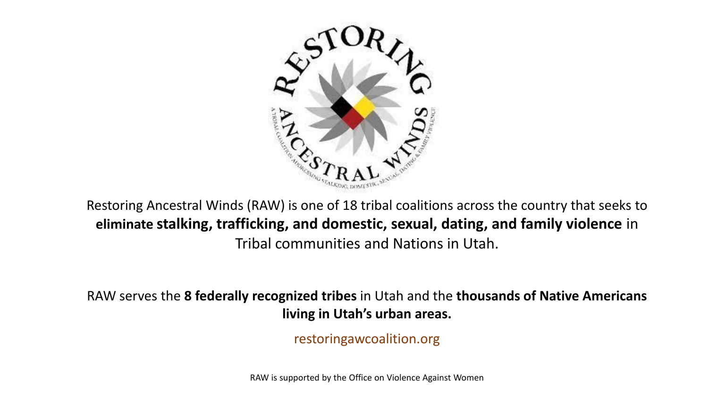

Restoring Ancestral Winds (RAW) is one of 18 tribal coalitions across the country that seeks to **eliminate stalking, trafficking, and domestic, sexual, dating, and family violence** in Tribal communities and Nations in Utah.

RAW serves the **8 federally recognized tribes** in Utah and the **thousands of Native Americans living in Utah's urban areas.** 

restoringawcoalition.org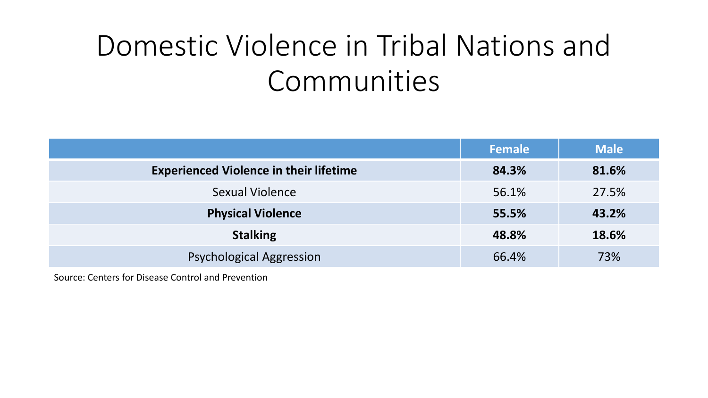# Domestic Violence in Tribal Nations and Communities

|                                               | Female | <b>Male</b> |
|-----------------------------------------------|--------|-------------|
| <b>Experienced Violence in their lifetime</b> | 84.3%  | 81.6%       |
| <b>Sexual Violence</b>                        | 56.1%  | 27.5%       |
| <b>Physical Violence</b>                      | 55.5%  | 43.2%       |
| <b>Stalking</b>                               | 48.8%  | 18.6%       |
| <b>Psychological Aggression</b>               | 66.4%  | 73%         |

Source: Centers for Disease Control and Prevention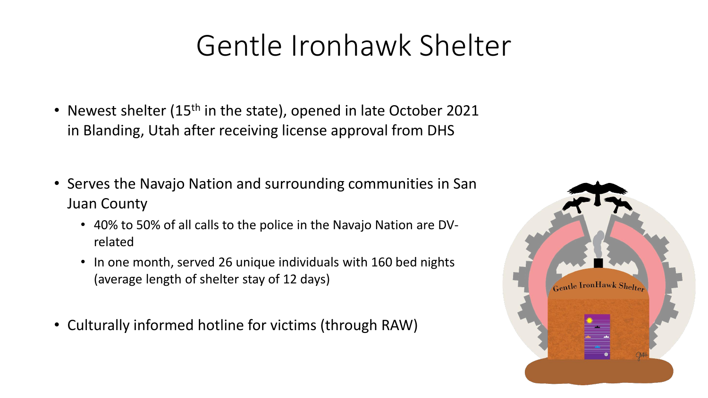# Gentle Ironhawk Shelter

- Newest shelter (15<sup>th</sup> in the state), opened in late October 2021 in Blanding, Utah after receiving license approval from DHS
- Serves the Navajo Nation and surrounding communities in San Juan County
	- 40% to 50% of all calls to the police in the Navajo Nation are DVrelated
	- In one month, served 26 unique individuals with 160 bed nights (average length of shelter stay of 12 days)
- Culturally informed hotline for victims (through RAW)

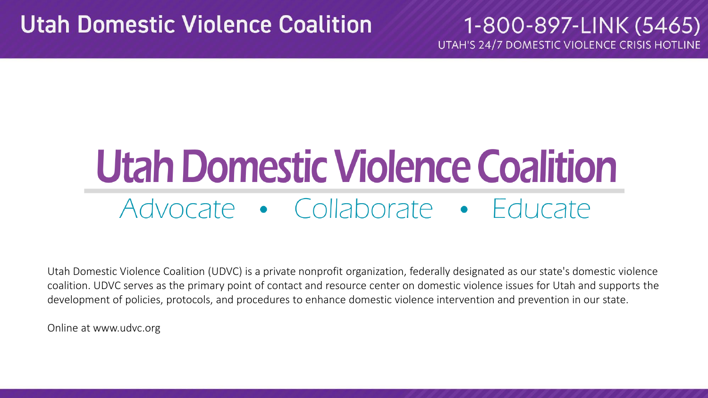## **Utah Domestic Violence Coalition**

1-800-897-LINK (5465) UTAH'S 24/7 DOMESTIC VIOLENCE CRISIS HOTLINE

# **Utah Domestic Violence Coalition** Advocate • Collaborate • Educate

Utah Domestic Violence Coalition (UDVC) is a private nonprofit organization, federally designated as our state's domestic violence coalition. UDVC serves as the primary point of contact and resource center on domestic violence issues for Utah and supports the development of policies, protocols, and procedures to enhance domestic violence intervention and prevention in our state.

Online at www.udvc.org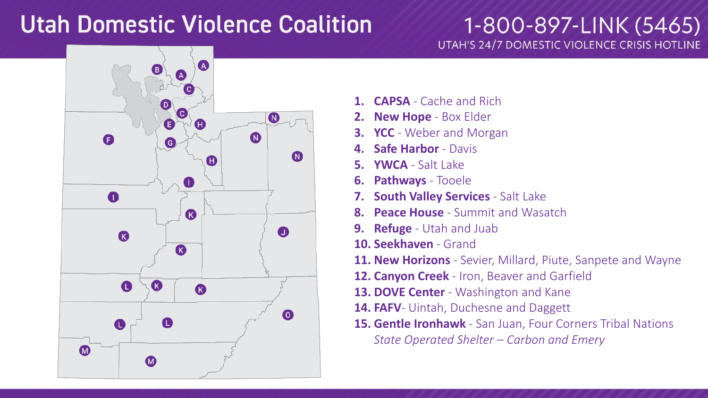# **Utah Domestic Violence Coalition**

1-800-897-LINK (5465) UTAH'S 24/7 DOMESTIC VIOLENCE CRISIS HOTLINE



- **1. CAPSA** Cache and Rich
- **2. New Hope**  Box Elder
- **3. YCC**  Weber and Morgan
- **4. Safe Harbor**  Davis
- **5. YWCA** Salt Lake
- **6. Pathways** Tooele
- **7. South Valley Services**  Salt Lake
- **8. Peace House**  Summit and Wasatch
- **9. Refuge** Utah and Juab
- **10. Seekhaven** Grand
- **11. New Horizons**  Sevier, Millard, Piute, Sanpete and Wayne
- **12. Canyon Creek**  Iron, Beaver and Garfield
- **13. DOVE Center**  Washington and Kane
- **14. FAFV** Uintah, Duchesne and Daggett
- **15. Gentle Ironhawk**  San Juan, Four Corners Tribal Nations *State Operated Shelter – Carbon and Emery*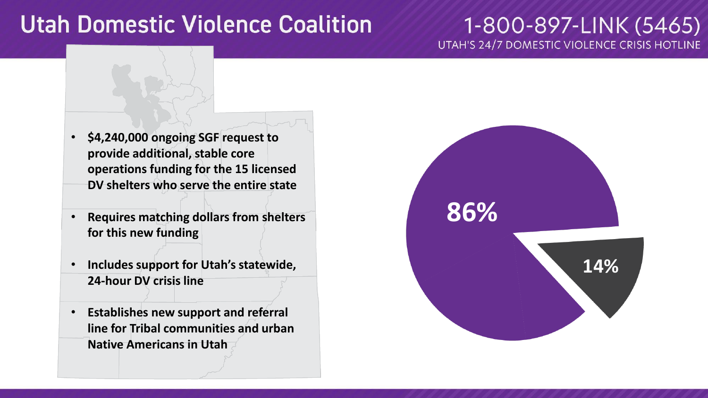# **Utah Domestic Violence Coalition**

#### 1-800-897-LINK (5465) UTAH'S 24/7 DOMESTIC VIOLENCE CRISIS HOTLINE

- **\$4,240,000 ongoing SGF request to provide additional, stable core operations funding for the 15 licensed DV shelters who serve the entire state**
- **Requires matching dollars from shelters for this new funding**
- **Includes support for Utah's statewide, 24 -hour DV crisis line**
- **Establishes new support and referral line for Tribal communities and urban Native Americans in Utah**